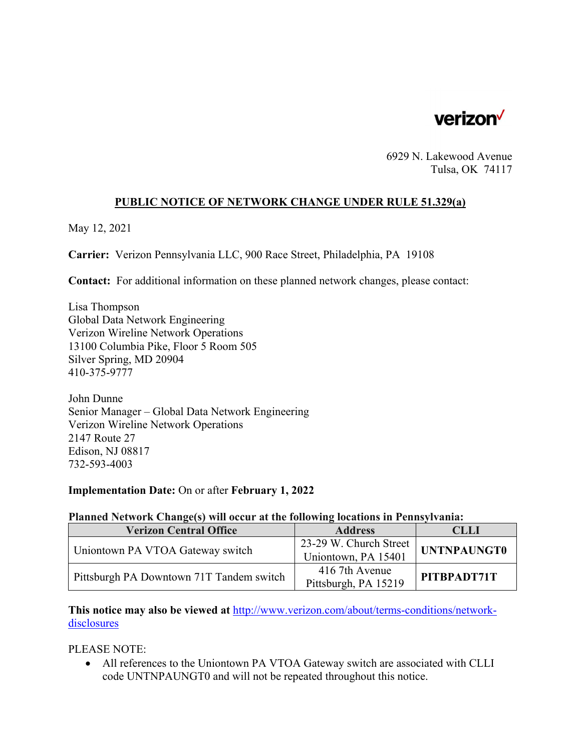

6929 N. Lakewood Avenue Tulsa, OK 74117

# **PUBLIC NOTICE OF NETWORK CHANGE UNDER RULE 51.329(a)**

May 12, 2021

**Carrier:** Verizon Pennsylvania LLC, 900 Race Street, Philadelphia, PA 19108

**Contact:** For additional information on these planned network changes, please contact:

Lisa Thompson Global Data Network Engineering Verizon Wireline Network Operations 13100 Columbia Pike, Floor 5 Room 505 Silver Spring, MD 20904 410-375-9777

John Dunne Senior Manager – Global Data Network Engineering Verizon Wireline Network Operations 2147 Route 27 Edison, NJ 08817 732-593-4003

#### **Implementation Date:** On or after **February 1, 2022**

#### **Planned Network Change(s) will occur at the following locations in Pennsylvania:**

| <b>Verizon Central Office</b>            | <b>Address</b>         | <b>CLLI</b>        |
|------------------------------------------|------------------------|--------------------|
| Uniontown PA VTOA Gateway switch         | 23-29 W. Church Street | <b>UNTNPAUNGT0</b> |
|                                          | Uniontown, PA 15401    |                    |
| Pittsburgh PA Downtown 71T Tandem switch | 416 7th Avenue         | PITBPADT71T        |
|                                          | Pittsburgh, PA 15219   |                    |

**This notice may also be viewed at** http://www.verizon.com/about/terms-conditions/networkdisclosures

PLEASE NOTE:

 All references to the Uniontown PA VTOA Gateway switch are associated with CLLI code UNTNPAUNGT0 and will not be repeated throughout this notice.